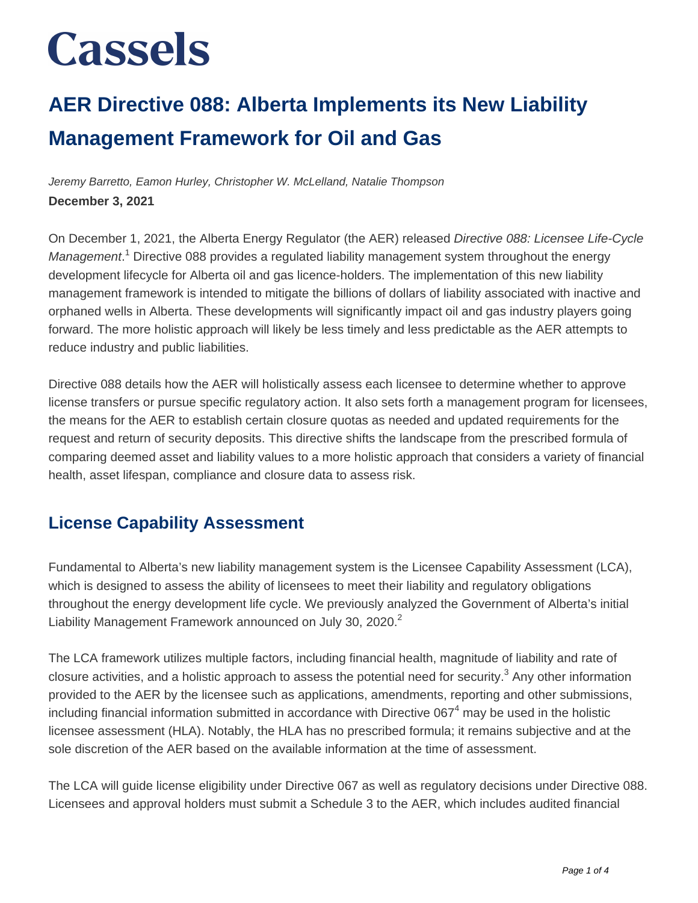### **AER Directive 088: Alberta Implements its New Liability Management Framework for Oil and Gas**

Jeremy Barretto, Eamon Hurley, Christopher W. McLelland, Natalie Thompson **December 3, 2021**

On December 1, 2021, the Alberta Energy Regulator (the AER) released Directive 088: Licensee Life-Cycle Management.<sup>1</sup> Directive 088 provides a regulated liability management system throughout the energy development lifecycle for Alberta oil and gas licence-holders. The implementation of this new liability management framework is intended to mitigate the billions of dollars of liability associated with inactive and orphaned wells in Alberta. These developments will significantly impact oil and gas industry players going forward. The more holistic approach will likely be less timely and less predictable as the AER attempts to reduce industry and public liabilities.

Directive 088 details how the AER will holistically assess each licensee to determine whether to approve license transfers or pursue specific regulatory action. It also sets forth a management program for licensees, the means for the AER to establish certain closure quotas as needed and updated requirements for the request and return of security deposits. This directive shifts the landscape from the prescribed formula of comparing deemed asset and liability values to a more holistic approach that considers a variety of financial health, asset lifespan, compliance and closure data to assess risk.

#### **License Capability Assessment**

Fundamental to Alberta's new liability management system is the Licensee Capability Assessment (LCA), which is designed to assess the ability of licensees to meet their liability and regulatory obligations throughout the energy development life cycle. We previously analyzed the Government of Alberta's initial Liability Management Framework announced on July 30, 2020.<sup>2</sup>

The LCA framework utilizes multiple factors, including financial health, magnitude of liability and rate of closure activities, and a holistic approach to assess the potential need for security.<sup>3</sup> Any other information provided to the AER by the licensee such as applications, amendments, reporting and other submissions, including financial information submitted in accordance with Directive 067<sup>4</sup> may be used in the holistic licensee assessment (HLA). Notably, the HLA has no prescribed formula; it remains subjective and at the sole discretion of the AER based on the available information at the time of assessment.

The LCA will guide license eligibility under Directive 067 as well as regulatory decisions under Directive 088. Licensees and approval holders must submit a Schedule 3 to the AER, which includes audited financial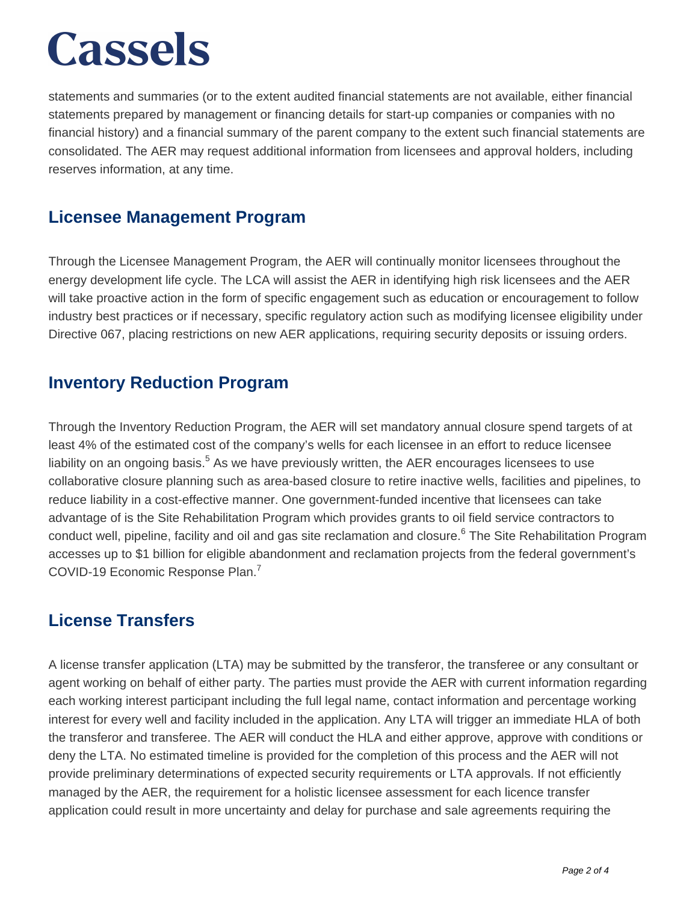statements and summaries (or to the extent audited financial statements are not available, either financial statements prepared by management or financing details for start-up companies or companies with no financial history) and a financial summary of the parent company to the extent such financial statements are consolidated. The AER may request additional information from licensees and approval holders, including reserves information, at any time.

#### **Licensee Management Program**

Through the Licensee Management Program, the AER will continually monitor licensees throughout the energy development life cycle. The LCA will assist the AER in identifying high risk licensees and the AER will take proactive action in the form of specific engagement such as education or encouragement to follow industry best practices or if necessary, specific regulatory action such as modifying licensee eligibility under Directive 067, placing restrictions on new AER applications, requiring security deposits or issuing orders.

#### **Inventory Reduction Program**

Through the Inventory Reduction Program, the AER will set mandatory annual closure spend targets of at least 4% of the estimated cost of the company's wells for each licensee in an effort to reduce licensee liability on an ongoing basis.<sup>5</sup> As we have previously written, the AER encourages licensees to use collaborative closure planning such as area-based closure to retire inactive wells, facilities and pipelines, to reduce liability in a cost-effective manner. One government-funded incentive that licensees can take advantage of is the Site Rehabilitation Program which provides grants to oil field service contractors to conduct well, pipeline, facility and oil and gas site reclamation and closure.<sup>6</sup> The Site Rehabilitation Program accesses up to \$1 billion for eligible abandonment and reclamation projects from the federal government's COVID-19 Economic Response Plan.<sup>7</sup>

#### **License Transfers**

A license transfer application (LTA) may be submitted by the transferor, the transferee or any consultant or agent working on behalf of either party. The parties must provide the AER with current information regarding each working interest participant including the full legal name, contact information and percentage working interest for every well and facility included in the application. Any LTA will trigger an immediate HLA of both the transferor and transferee. The AER will conduct the HLA and either approve, approve with conditions or deny the LTA. No estimated timeline is provided for the completion of this process and the AER will not provide preliminary determinations of expected security requirements or LTA approvals. If not efficiently managed by the AER, the requirement for a holistic licensee assessment for each licence transfer application could result in more uncertainty and delay for purchase and sale agreements requiring the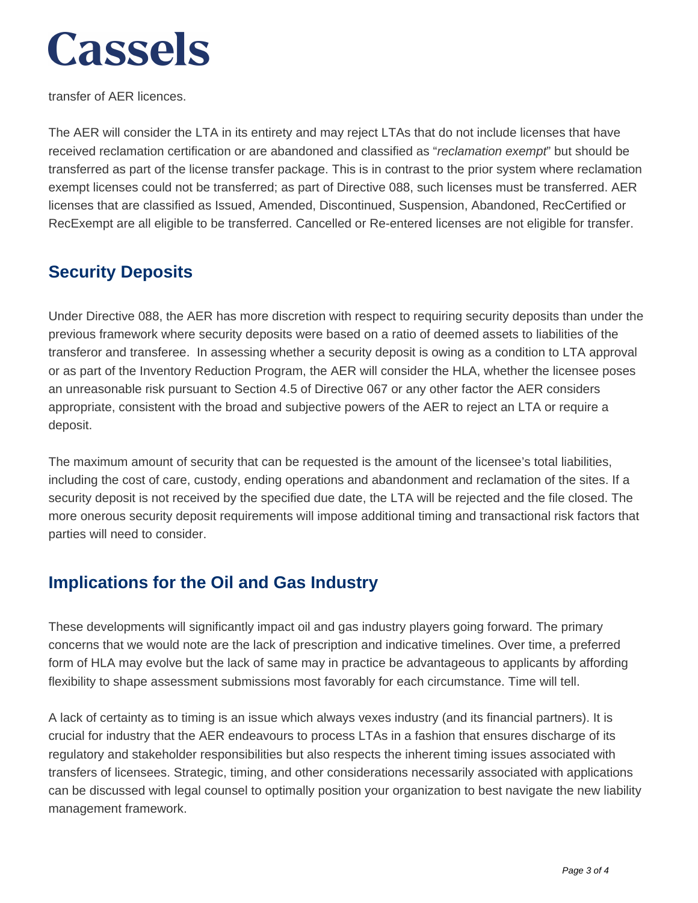transfer of AER licences.

The AER will consider the LTA in its entirety and may reject LTAs that do not include licenses that have received reclamation certification or are abandoned and classified as "reclamation exempt" but should be transferred as part of the license transfer package. This is in contrast to the prior system where reclamation exempt licenses could not be transferred; as part of Directive 088, such licenses must be transferred. AER licenses that are classified as Issued, Amended, Discontinued, Suspension, Abandoned, RecCertified or RecExempt are all eligible to be transferred. Cancelled or Re-entered licenses are not eligible for transfer.

#### **Security Deposits**

Under Directive 088, the AER has more discretion with respect to requiring security deposits than under the previous framework where security deposits were based on a ratio of deemed assets to liabilities of the transferor and transferee. In assessing whether a security deposit is owing as a condition to LTA approval or as part of the Inventory Reduction Program, the AER will consider the HLA, whether the licensee poses an unreasonable risk pursuant to Section 4.5 of Directive 067 or any other factor the AER considers appropriate, consistent with the broad and subjective powers of the AER to reject an LTA or require a deposit.

The maximum amount of security that can be requested is the amount of the licensee's total liabilities, including the cost of care, custody, ending operations and abandonment and reclamation of the sites. If a security deposit is not received by the specified due date, the LTA will be rejected and the file closed. The more onerous security deposit requirements will impose additional timing and transactional risk factors that parties will need to consider.

#### **Implications for the Oil and Gas Industry**

These developments will significantly impact oil and gas industry players going forward. The primary concerns that we would note are the lack of prescription and indicative timelines. Over time, a preferred form of HLA may evolve but the lack of same may in practice be advantageous to applicants by affording flexibility to shape assessment submissions most favorably for each circumstance. Time will tell.

A lack of certainty as to timing is an issue which always vexes industry (and its financial partners). It is crucial for industry that the AER endeavours to process LTAs in a fashion that ensures discharge of its regulatory and stakeholder responsibilities but also respects the inherent timing issues associated with transfers of licensees. Strategic, timing, and other considerations necessarily associated with applications can be discussed with legal counsel to optimally position your organization to best navigate the new liability management framework.